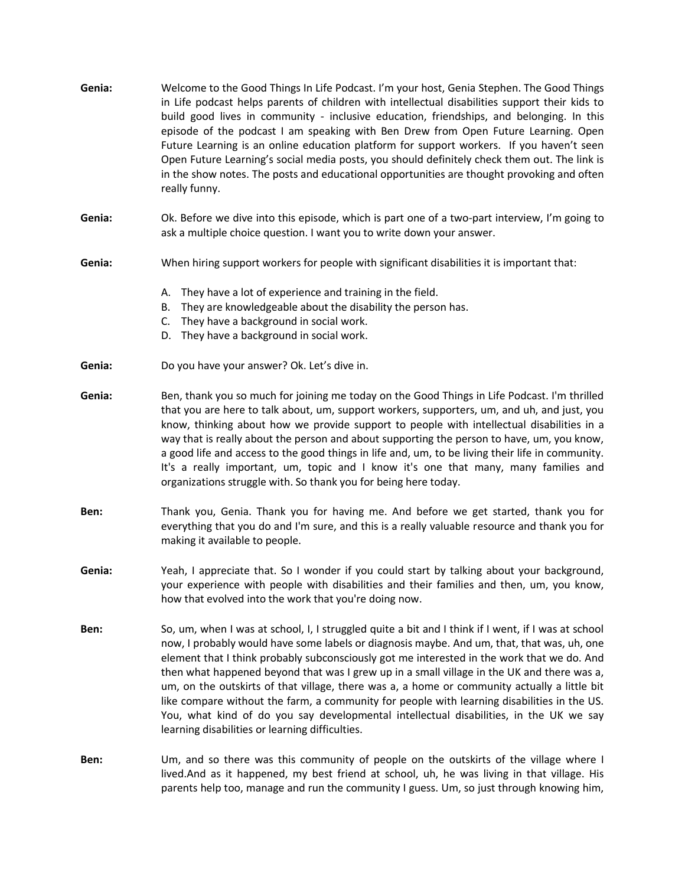| Genia: | Welcome to the Good Things In Life Podcast. I'm your host, Genia Stephen. The Good Things<br>in Life podcast helps parents of children with intellectual disabilities support their kids to<br>build good lives in community - inclusive education, friendships, and belonging. In this<br>episode of the podcast I am speaking with Ben Drew from Open Future Learning. Open<br>Future Learning is an online education platform for support workers. If you haven't seen<br>Open Future Learning's social media posts, you should definitely check them out. The link is<br>in the show notes. The posts and educational opportunities are thought provoking and often<br>really funny.                                                 |
|--------|------------------------------------------------------------------------------------------------------------------------------------------------------------------------------------------------------------------------------------------------------------------------------------------------------------------------------------------------------------------------------------------------------------------------------------------------------------------------------------------------------------------------------------------------------------------------------------------------------------------------------------------------------------------------------------------------------------------------------------------|
| Genia: | Ok. Before we dive into this episode, which is part one of a two-part interview, I'm going to<br>ask a multiple choice question. I want you to write down your answer.                                                                                                                                                                                                                                                                                                                                                                                                                                                                                                                                                                   |
| Genia: | When hiring support workers for people with significant disabilities it is important that:                                                                                                                                                                                                                                                                                                                                                                                                                                                                                                                                                                                                                                               |
|        | They have a lot of experience and training in the field.<br>А.<br>They are knowledgeable about the disability the person has.<br>В.<br>They have a background in social work.<br>C.<br>They have a background in social work.<br>D.                                                                                                                                                                                                                                                                                                                                                                                                                                                                                                      |
| Genia: | Do you have your answer? Ok. Let's dive in.                                                                                                                                                                                                                                                                                                                                                                                                                                                                                                                                                                                                                                                                                              |
| Genia: | Ben, thank you so much for joining me today on the Good Things in Life Podcast. I'm thrilled<br>that you are here to talk about, um, support workers, supporters, um, and uh, and just, you<br>know, thinking about how we provide support to people with intellectual disabilities in a<br>way that is really about the person and about supporting the person to have, um, you know,<br>a good life and access to the good things in life and, um, to be living their life in community.<br>It's a really important, um, topic and I know it's one that many, many families and<br>organizations struggle with. So thank you for being here today.                                                                                     |
| Ben:   | Thank you, Genia. Thank you for having me. And before we get started, thank you for<br>everything that you do and I'm sure, and this is a really valuable resource and thank you for<br>making it available to people.                                                                                                                                                                                                                                                                                                                                                                                                                                                                                                                   |
| Genia: | Yeah, I appreciate that. So I wonder if you could start by talking about your background,<br>your experience with people with disabilities and their families and then, um, you know,<br>how that evolved into the work that you're doing now.                                                                                                                                                                                                                                                                                                                                                                                                                                                                                           |
| Ben:   | So, um, when I was at school, I, I struggled quite a bit and I think if I went, if I was at school<br>now, I probably would have some labels or diagnosis maybe. And um, that, that was, uh, one<br>element that I think probably subconsciously got me interested in the work that we do. And<br>then what happened beyond that was I grew up in a small village in the UK and there was a,<br>um, on the outskirts of that village, there was a, a home or community actually a little bit<br>like compare without the farm, a community for people with learning disabilities in the US.<br>You, what kind of do you say developmental intellectual disabilities, in the UK we say<br>learning disabilities or learning difficulties. |
| Ben:   | Um, and so there was this community of people on the outskirts of the village where I<br>lived.And as it happened, my best friend at school, uh, he was living in that village. His<br>parents help too, manage and run the community I guess. Um, so just through knowing him,                                                                                                                                                                                                                                                                                                                                                                                                                                                          |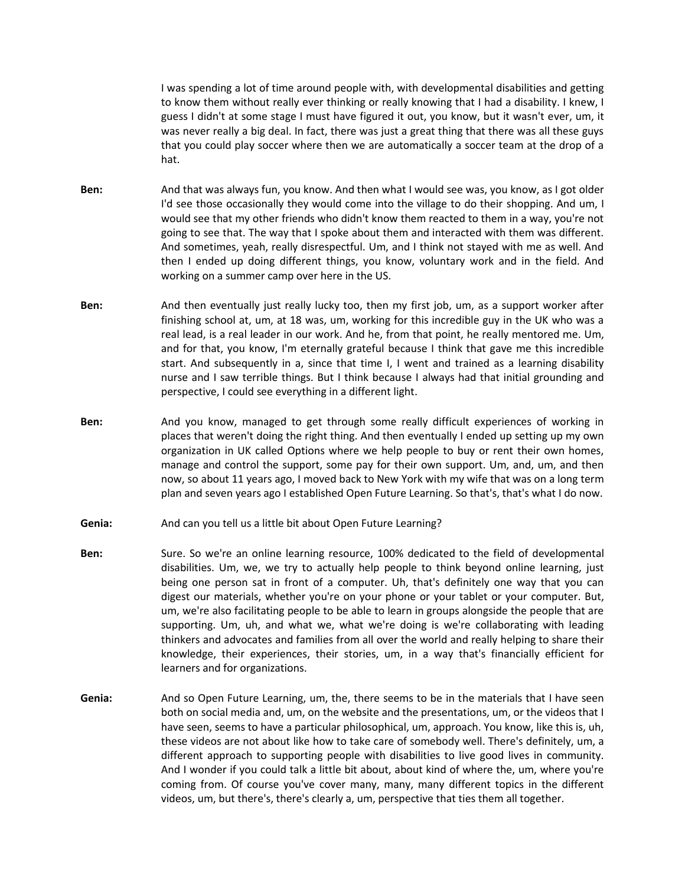I was spending a lot of time around people with, with developmental disabilities and getting to know them without really ever thinking or really knowing that I had a disability. I knew, I guess I didn't at some stage I must have figured it out, you know, but it wasn't ever, um, it was never really a big deal. In fact, there was just a great thing that there was all these guys that you could play soccer where then we are automatically a soccer team at the drop of a hat.

- **Ben:** And that was always fun, you know. And then what I would see was, you know, as I got older I'd see those occasionally they would come into the village to do their shopping. And um, I would see that my other friends who didn't know them reacted to them in a way, you're not going to see that. The way that I spoke about them and interacted with them was different. And sometimes, yeah, really disrespectful. Um, and I think not stayed with me as well. And then I ended up doing different things, you know, voluntary work and in the field. And working on a summer camp over here in the US.
- **Ben:** And then eventually just really lucky too, then my first job, um, as a support worker after finishing school at, um, at 18 was, um, working for this incredible guy in the UK who was a real lead, is a real leader in our work. And he, from that point, he really mentored me. Um, and for that, you know, I'm eternally grateful because I think that gave me this incredible start. And subsequently in a, since that time I, I went and trained as a learning disability nurse and I saw terrible things. But I think because I always had that initial grounding and perspective, I could see everything in a different light.
- **Ben:** And you know, managed to get through some really difficult experiences of working in places that weren't doing the right thing. And then eventually I ended up setting up my own organization in UK called Options where we help people to buy or rent their own homes, manage and control the support, some pay for their own support. Um, and, um, and then now, so about 11 years ago, I moved back to New York with my wife that was on a long term plan and seven years ago I established Open Future Learning. So that's, that's what I do now.
- **Genia:** And can you tell us a little bit about Open Future Learning?
- **Ben:** Sure. So we're an online learning resource, 100% dedicated to the field of developmental disabilities. Um, we, we try to actually help people to think beyond online learning, just being one person sat in front of a computer. Uh, that's definitely one way that you can digest our materials, whether you're on your phone or your tablet or your computer. But, um, we're also facilitating people to be able to learn in groups alongside the people that are supporting. Um, uh, and what we, what we're doing is we're collaborating with leading thinkers and advocates and families from all over the world and really helping to share their knowledge, their experiences, their stories, um, in a way that's financially efficient for learners and for organizations.
- **Genia:** And so Open Future Learning, um, the, there seems to be in the materials that I have seen both on social media and, um, on the website and the presentations, um, or the videos that I have seen, seems to have a particular philosophical, um, approach. You know, like this is, uh, these videos are not about like how to take care of somebody well. There's definitely, um, a different approach to supporting people with disabilities to live good lives in community. And I wonder if you could talk a little bit about, about kind of where the, um, where you're coming from. Of course you've cover many, many, many different topics in the different videos, um, but there's, there's clearly a, um, perspective that ties them all together.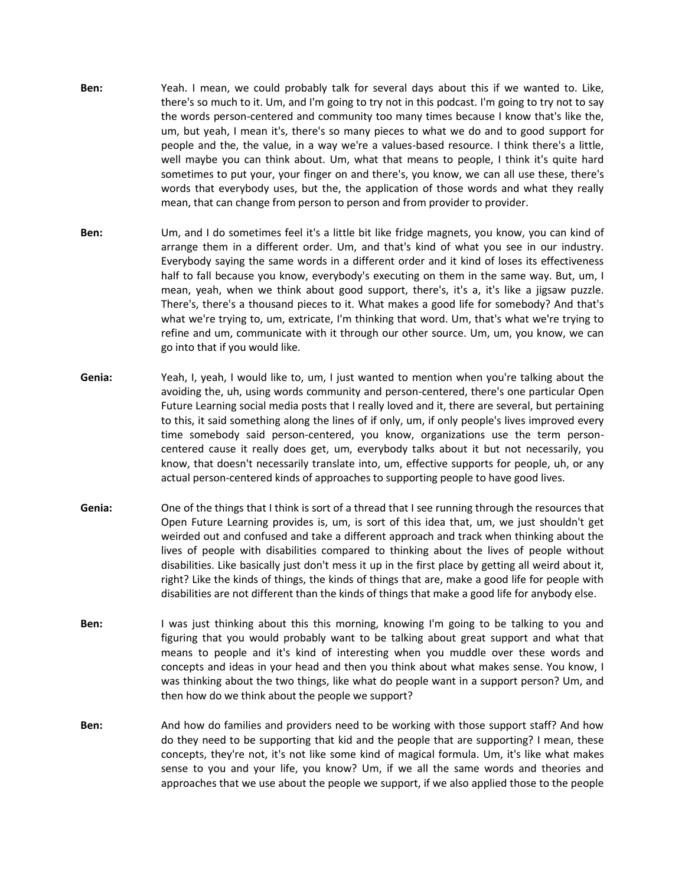- **Ben:** Yeah. I mean, we could probably talk for several days about this if we wanted to. Like, there's so much to it. Um, and I'm going to try not in this podcast. I'm going to try not to say the words person-centered and community too many times because I know that's like the, um, but yeah, I mean it's, there's so many pieces to what we do and to good support for people and the, the value, in a way we're a values-based resource. I think there's a little, well maybe you can think about. Um, what that means to people, I think it's quite hard sometimes to put your, your finger on and there's, you know, we can all use these, there's words that everybody uses, but the, the application of those words and what they really mean, that can change from person to person and from provider to provider.
- **Ben:** Um, and I do sometimes feel it's a little bit like fridge magnets, you know, you can kind of arrange them in a different order. Um, and that's kind of what you see in our industry. Everybody saying the same words in a different order and it kind of loses its effectiveness half to fall because you know, everybody's executing on them in the same way. But, um, I mean, yeah, when we think about good support, there's, it's a, it's like a jigsaw puzzle. There's, there's a thousand pieces to it. What makes a good life for somebody? And that's what we're trying to, um, extricate, I'm thinking that word. Um, that's what we're trying to refine and um, communicate with it through our other source. Um, um, you know, we can go into that if you would like.
- **Genia:** Yeah, I, yeah, I would like to, um, I just wanted to mention when you're talking about the avoiding the, uh, using words community and person-centered, there's one particular Open Future Learning social media posts that I really loved and it, there are several, but pertaining to this, it said something along the lines of if only, um, if only people's lives improved every time somebody said person-centered, you know, organizations use the term personcentered cause it really does get, um, everybody talks about it but not necessarily, you know, that doesn't necessarily translate into, um, effective supports for people, uh, or any actual person-centered kinds of approaches to supporting people to have good lives.
- **Genia:** One of the things that I think is sort of a thread that I see running through the resources that Open Future Learning provides is, um, is sort of this idea that, um, we just shouldn't get weirded out and confused and take a different approach and track when thinking about the lives of people with disabilities compared to thinking about the lives of people without disabilities. Like basically just don't mess it up in the first place by getting all weird about it, right? Like the kinds of things, the kinds of things that are, make a good life for people with disabilities are not different than the kinds of things that make a good life for anybody else.
- **Ben:** I was just thinking about this this morning, knowing I'm going to be talking to you and figuring that you would probably want to be talking about great support and what that means to people and it's kind of interesting when you muddle over these words and concepts and ideas in your head and then you think about what makes sense. You know, I was thinking about the two things, like what do people want in a support person? Um, and then how do we think about the people we support?
- **Ben:** And how do families and providers need to be working with those support staff? And how do they need to be supporting that kid and the people that are supporting? I mean, these concepts, they're not, it's not like some kind of magical formula. Um, it's like what makes sense to you and your life, you know? Um, if we all the same words and theories and approaches that we use about the people we support, if we also applied those to the people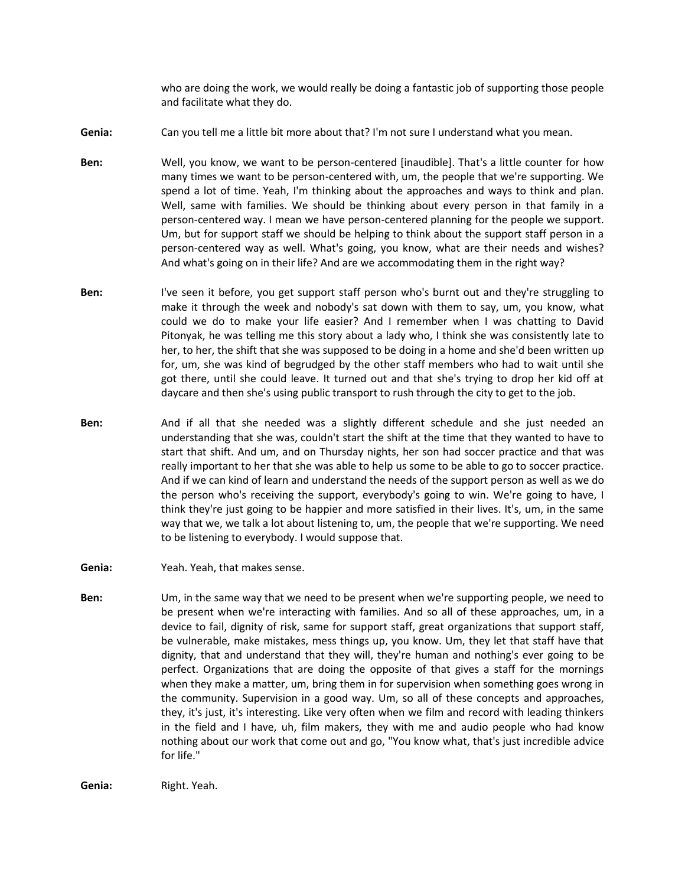who are doing the work, we would really be doing a fantastic job of supporting those people and facilitate what they do.

**Genia:** Can you tell me a little bit more about that? I'm not sure I understand what you mean.

- **Ben:** Well, you know, we want to be person-centered [inaudible]. That's a little counter for how many times we want to be person-centered with, um, the people that we're supporting. We spend a lot of time. Yeah, I'm thinking about the approaches and ways to think and plan. Well, same with families. We should be thinking about every person in that family in a person-centered way. I mean we have person-centered planning for the people we support. Um, but for support staff we should be helping to think about the support staff person in a person-centered way as well. What's going, you know, what are their needs and wishes? And what's going on in their life? And are we accommodating them in the right way?
- **Ben:** I've seen it before, you get support staff person who's burnt out and they're struggling to make it through the week and nobody's sat down with them to say, um, you know, what could we do to make your life easier? And I remember when I was chatting to David Pitonyak, he was telling me this story about a lady who, I think she was consistently late to her, to her, the shift that she was supposed to be doing in a home and she'd been written up for, um, she was kind of begrudged by the other staff members who had to wait until she got there, until she could leave. It turned out and that she's trying to drop her kid off at daycare and then she's using public transport to rush through the city to get to the job.
- **Ben:** And if all that she needed was a slightly different schedule and she just needed an understanding that she was, couldn't start the shift at the time that they wanted to have to start that shift. And um, and on Thursday nights, her son had soccer practice and that was really important to her that she was able to help us some to be able to go to soccer practice. And if we can kind of learn and understand the needs of the support person as well as we do the person who's receiving the support, everybody's going to win. We're going to have, I think they're just going to be happier and more satisfied in their lives. It's, um, in the same way that we, we talk a lot about listening to, um, the people that we're supporting. We need to be listening to everybody. I would suppose that.
- **Genia:** Yeah. Yeah, that makes sense.
- **Ben:** Um, in the same way that we need to be present when we're supporting people, we need to be present when we're interacting with families. And so all of these approaches, um, in a device to fail, dignity of risk, same for support staff, great organizations that support staff, be vulnerable, make mistakes, mess things up, you know. Um, they let that staff have that dignity, that and understand that they will, they're human and nothing's ever going to be perfect. Organizations that are doing the opposite of that gives a staff for the mornings when they make a matter, um, bring them in for supervision when something goes wrong in the community. Supervision in a good way. Um, so all of these concepts and approaches, they, it's just, it's interesting. Like very often when we film and record with leading thinkers in the field and I have, uh, film makers, they with me and audio people who had know nothing about our work that come out and go, "You know what, that's just incredible advice for life."

**Genia:** Right. Yeah.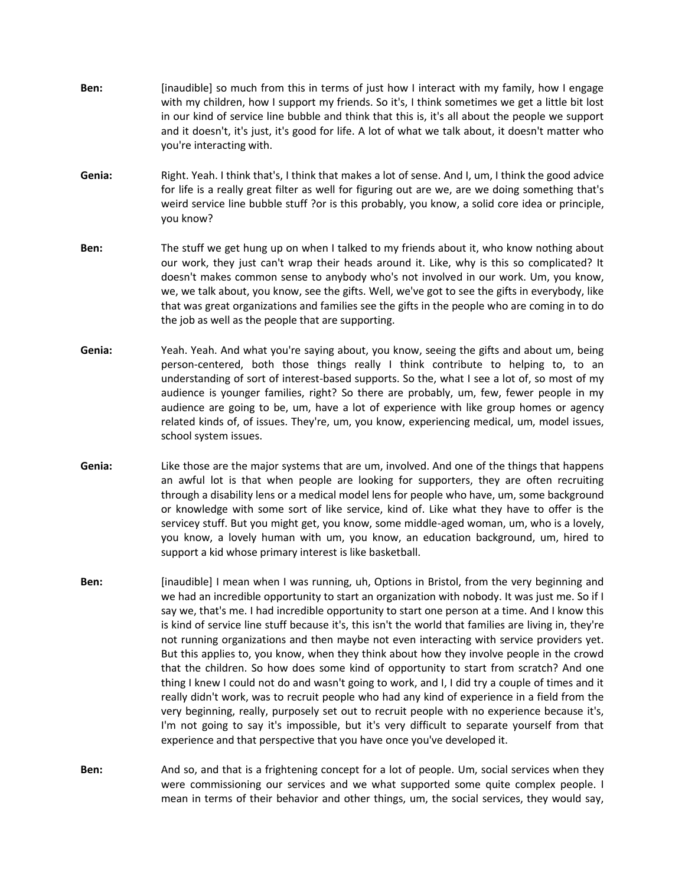- **Ben:** [inaudible] so much from this in terms of just how I interact with my family, how I engage with my children, how I support my friends. So it's, I think sometimes we get a little bit lost in our kind of service line bubble and think that this is, it's all about the people we support and it doesn't, it's just, it's good for life. A lot of what we talk about, it doesn't matter who you're interacting with.
- **Genia:** Right. Yeah. I think that's, I think that makes a lot of sense. And I, um, I think the good advice for life is a really great filter as well for figuring out are we, are we doing something that's weird service line bubble stuff ?or is this probably, you know, a solid core idea or principle, you know?
- **Ben:** The stuff we get hung up on when I talked to my friends about it, who know nothing about our work, they just can't wrap their heads around it. Like, why is this so complicated? It doesn't makes common sense to anybody who's not involved in our work. Um, you know, we, we talk about, you know, see the gifts. Well, we've got to see the gifts in everybody, like that was great organizations and families see the gifts in the people who are coming in to do the job as well as the people that are supporting.
- **Genia:** Yeah. Yeah. And what you're saying about, you know, seeing the gifts and about um, being person-centered, both those things really I think contribute to helping to, to an understanding of sort of interest-based supports. So the, what I see a lot of, so most of my audience is younger families, right? So there are probably, um, few, fewer people in my audience are going to be, um, have a lot of experience with like group homes or agency related kinds of, of issues. They're, um, you know, experiencing medical, um, model issues, school system issues.
- **Genia:** Like those are the major systems that are um, involved. And one of the things that happens an awful lot is that when people are looking for supporters, they are often recruiting through a disability lens or a medical model lens for people who have, um, some background or knowledge with some sort of like service, kind of. Like what they have to offer is the servicey stuff. But you might get, you know, some middle-aged woman, um, who is a lovely, you know, a lovely human with um, you know, an education background, um, hired to support a kid whose primary interest is like basketball.
- **Ben:** [inaudible] I mean when I was running, uh, Options in Bristol, from the very beginning and we had an incredible opportunity to start an organization with nobody. It was just me. So if I say we, that's me. I had incredible opportunity to start one person at a time. And I know this is kind of service line stuff because it's, this isn't the world that families are living in, they're not running organizations and then maybe not even interacting with service providers yet. But this applies to, you know, when they think about how they involve people in the crowd that the children. So how does some kind of opportunity to start from scratch? And one thing I knew I could not do and wasn't going to work, and I, I did try a couple of times and it really didn't work, was to recruit people who had any kind of experience in a field from the very beginning, really, purposely set out to recruit people with no experience because it's, I'm not going to say it's impossible, but it's very difficult to separate yourself from that experience and that perspective that you have once you've developed it.
- **Ben:** And so, and that is a frightening concept for a lot of people. Um, social services when they were commissioning our services and we what supported some quite complex people. I mean in terms of their behavior and other things, um, the social services, they would say,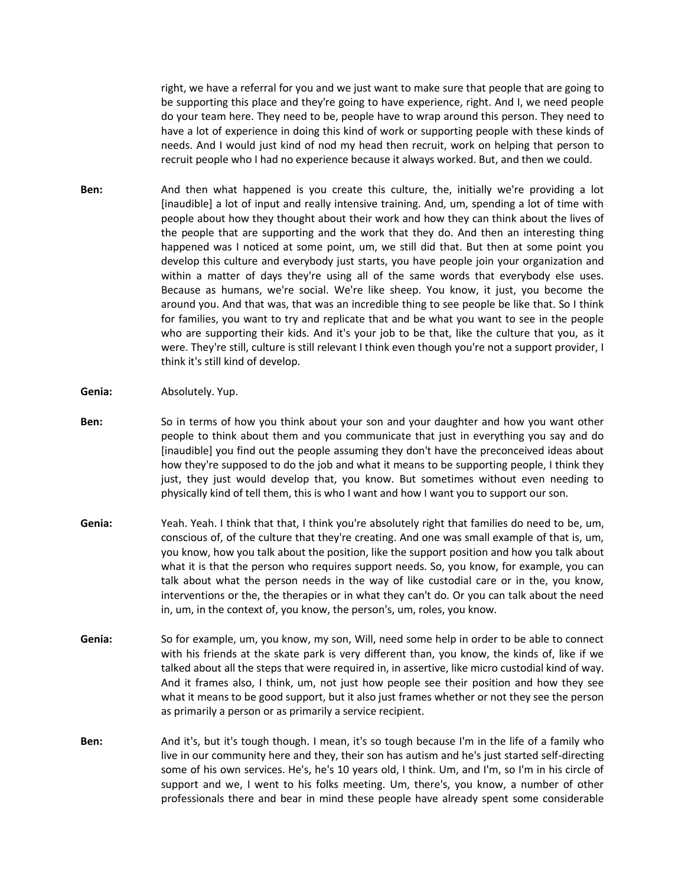right, we have a referral for you and we just want to make sure that people that are going to be supporting this place and they're going to have experience, right. And I, we need people do your team here. They need to be, people have to wrap around this person. They need to have a lot of experience in doing this kind of work or supporting people with these kinds of needs. And I would just kind of nod my head then recruit, work on helping that person to recruit people who I had no experience because it always worked. But, and then we could.

- **Ben:** And then what happened is you create this culture, the, initially we're providing a lot [inaudible] a lot of input and really intensive training. And, um, spending a lot of time with people about how they thought about their work and how they can think about the lives of the people that are supporting and the work that they do. And then an interesting thing happened was I noticed at some point, um, we still did that. But then at some point you develop this culture and everybody just starts, you have people join your organization and within a matter of days they're using all of the same words that everybody else uses. Because as humans, we're social. We're like sheep. You know, it just, you become the around you. And that was, that was an incredible thing to see people be like that. So I think for families, you want to try and replicate that and be what you want to see in the people who are supporting their kids. And it's your job to be that, like the culture that you, as it were. They're still, culture is still relevant I think even though you're not a support provider, I think it's still kind of develop.
- **Genia:** Absolutely. Yup.
- **Ben:** So in terms of how you think about your son and your daughter and how you want other people to think about them and you communicate that just in everything you say and do [inaudible] you find out the people assuming they don't have the preconceived ideas about how they're supposed to do the job and what it means to be supporting people, I think they just, they just would develop that, you know. But sometimes without even needing to physically kind of tell them, this is who I want and how I want you to support our son.
- **Genia:** Yeah. Yeah. I think that that, I think you're absolutely right that families do need to be, um, conscious of, of the culture that they're creating. And one was small example of that is, um, you know, how you talk about the position, like the support position and how you talk about what it is that the person who requires support needs. So, you know, for example, you can talk about what the person needs in the way of like custodial care or in the, you know, interventions or the, the therapies or in what they can't do. Or you can talk about the need in, um, in the context of, you know, the person's, um, roles, you know.
- **Genia:** So for example, um, you know, my son, Will, need some help in order to be able to connect with his friends at the skate park is very different than, you know, the kinds of, like if we talked about all the steps that were required in, in assertive, like micro custodial kind of way. And it frames also, I think, um, not just how people see their position and how they see what it means to be good support, but it also just frames whether or not they see the person as primarily a person or as primarily a service recipient.
- **Ben:** And it's, but it's tough though. I mean, it's so tough because I'm in the life of a family who live in our community here and they, their son has autism and he's just started self-directing some of his own services. He's, he's 10 years old, I think. Um, and I'm, so I'm in his circle of support and we, I went to his folks meeting. Um, there's, you know, a number of other professionals there and bear in mind these people have already spent some considerable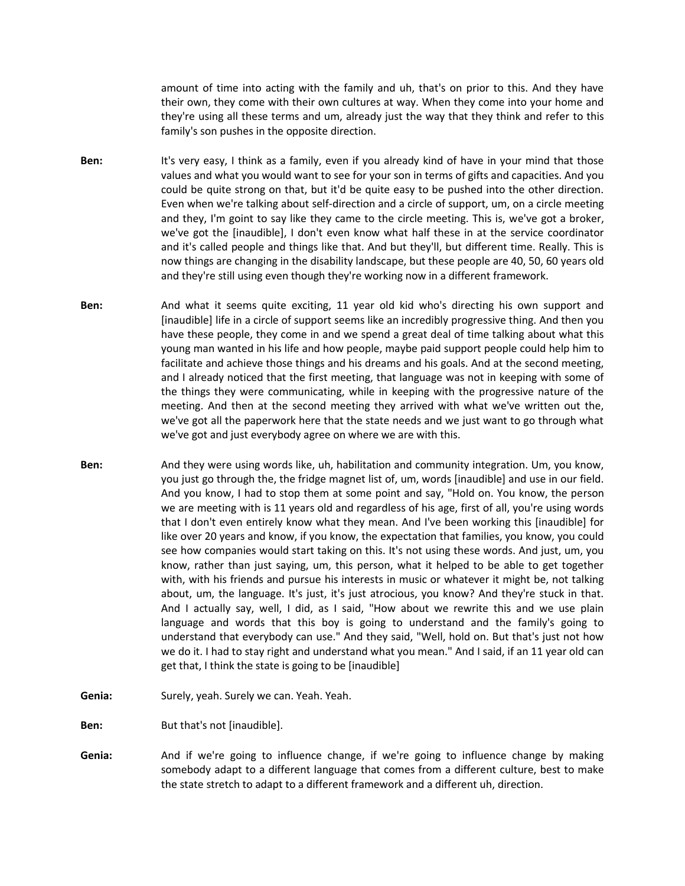amount of time into acting with the family and uh, that's on prior to this. And they have their own, they come with their own cultures at way. When they come into your home and they're using all these terms and um, already just the way that they think and refer to this family's son pushes in the opposite direction.

- **Ben:** It's very easy, I think as a family, even if you already kind of have in your mind that those values and what you would want to see for your son in terms of gifts and capacities. And you could be quite strong on that, but it'd be quite easy to be pushed into the other direction. Even when we're talking about self-direction and a circle of support, um, on a circle meeting and they, I'm goint to say like they came to the circle meeting. This is, we've got a broker, we've got the [inaudible], I don't even know what half these in at the service coordinator and it's called people and things like that. And but they'll, but different time. Really. This is now things are changing in the disability landscape, but these people are 40, 50, 60 years old and they're still using even though they're working now in a different framework.
- **Ben:** And what it seems quite exciting, 11 year old kid who's directing his own support and [inaudible] life in a circle of support seems like an incredibly progressive thing. And then you have these people, they come in and we spend a great deal of time talking about what this young man wanted in his life and how people, maybe paid support people could help him to facilitate and achieve those things and his dreams and his goals. And at the second meeting, and I already noticed that the first meeting, that language was not in keeping with some of the things they were communicating, while in keeping with the progressive nature of the meeting. And then at the second meeting they arrived with what we've written out the, we've got all the paperwork here that the state needs and we just want to go through what we've got and just everybody agree on where we are with this.
- **Ben:** And they were using words like, uh, habilitation and community integration. Um, you know, you just go through the, the fridge magnet list of, um, words [inaudible] and use in our field. And you know, I had to stop them at some point and say, "Hold on. You know, the person we are meeting with is 11 years old and regardless of his age, first of all, you're using words that I don't even entirely know what they mean. And I've been working this [inaudible] for like over 20 years and know, if you know, the expectation that families, you know, you could see how companies would start taking on this. It's not using these words. And just, um, you know, rather than just saying, um, this person, what it helped to be able to get together with, with his friends and pursue his interests in music or whatever it might be, not talking about, um, the language. It's just, it's just atrocious, you know? And they're stuck in that. And I actually say, well, I did, as I said, "How about we rewrite this and we use plain language and words that this boy is going to understand and the family's going to understand that everybody can use." And they said, "Well, hold on. But that's just not how we do it. I had to stay right and understand what you mean." And I said, if an 11 year old can get that, I think the state is going to be [inaudible]
- Genia: Surely, yeah. Surely we can. Yeah. Yeah.

**Ben:** But that's not [inaudible].

**Genia:** And if we're going to influence change, if we're going to influence change by making somebody adapt to a different language that comes from a different culture, best to make the state stretch to adapt to a different framework and a different uh, direction.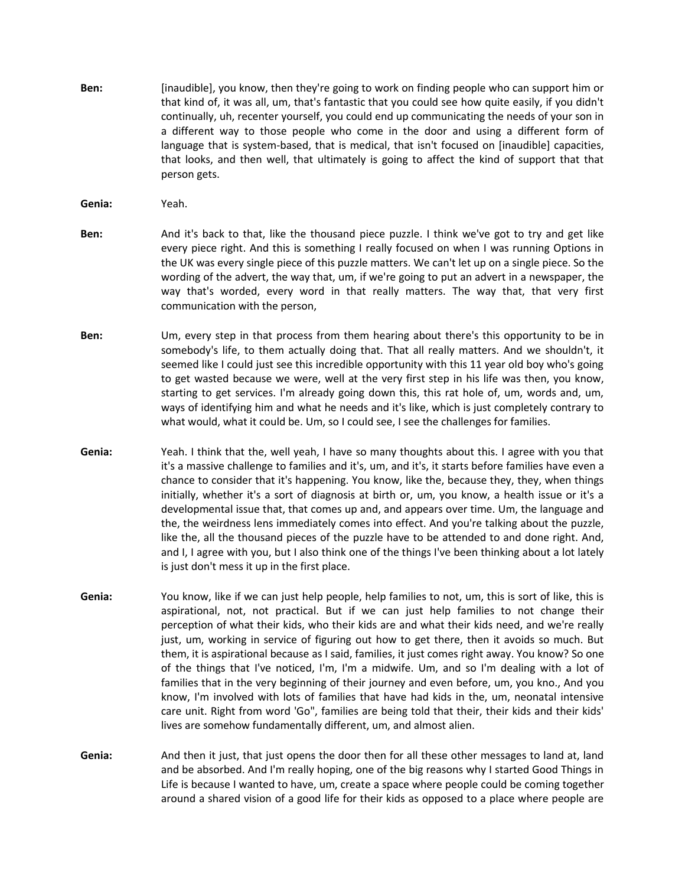- **Ben:** [inaudible], you know, then they're going to work on finding people who can support him or that kind of, it was all, um, that's fantastic that you could see how quite easily, if you didn't continually, uh, recenter yourself, you could end up communicating the needs of your son in a different way to those people who come in the door and using a different form of language that is system-based, that is medical, that isn't focused on [inaudible] capacities, that looks, and then well, that ultimately is going to affect the kind of support that that person gets.
- **Genia:** Yeah.
- **Ben:** And it's back to that, like the thousand piece puzzle. I think we've got to try and get like every piece right. And this is something I really focused on when I was running Options in the UK was every single piece of this puzzle matters. We can't let up on a single piece. So the wording of the advert, the way that, um, if we're going to put an advert in a newspaper, the way that's worded, every word in that really matters. The way that, that very first communication with the person,
- **Ben:** Um, every step in that process from them hearing about there's this opportunity to be in somebody's life, to them actually doing that. That all really matters. And we shouldn't, it seemed like I could just see this incredible opportunity with this 11 year old boy who's going to get wasted because we were, well at the very first step in his life was then, you know, starting to get services. I'm already going down this, this rat hole of, um, words and, um, ways of identifying him and what he needs and it's like, which is just completely contrary to what would, what it could be. Um, so I could see, I see the challenges for families.
- **Genia:** Yeah. I think that the, well yeah, I have so many thoughts about this. I agree with you that it's a massive challenge to families and it's, um, and it's, it starts before families have even a chance to consider that it's happening. You know, like the, because they, they, when things initially, whether it's a sort of diagnosis at birth or, um, you know, a health issue or it's a developmental issue that, that comes up and, and appears over time. Um, the language and the, the weirdness lens immediately comes into effect. And you're talking about the puzzle, like the, all the thousand pieces of the puzzle have to be attended to and done right. And, and I, I agree with you, but I also think one of the things I've been thinking about a lot lately is just don't mess it up in the first place.
- **Genia:** You know, like if we can just help people, help families to not, um, this is sort of like, this is aspirational, not, not practical. But if we can just help families to not change their perception of what their kids, who their kids are and what their kids need, and we're really just, um, working in service of figuring out how to get there, then it avoids so much. But them, it is aspirational because as I said, families, it just comes right away. You know? So one of the things that I've noticed, I'm, I'm a midwife. Um, and so I'm dealing with a lot of families that in the very beginning of their journey and even before, um, you kno., And you know, I'm involved with lots of families that have had kids in the, um, neonatal intensive care unit. Right from word 'Go", families are being told that their, their kids and their kids' lives are somehow fundamentally different, um, and almost alien.
- **Genia:** And then it just, that just opens the door then for all these other messages to land at, land and be absorbed. And I'm really hoping, one of the big reasons why I started Good Things in Life is because I wanted to have, um, create a space where people could be coming together around a shared vision of a good life for their kids as opposed to a place where people are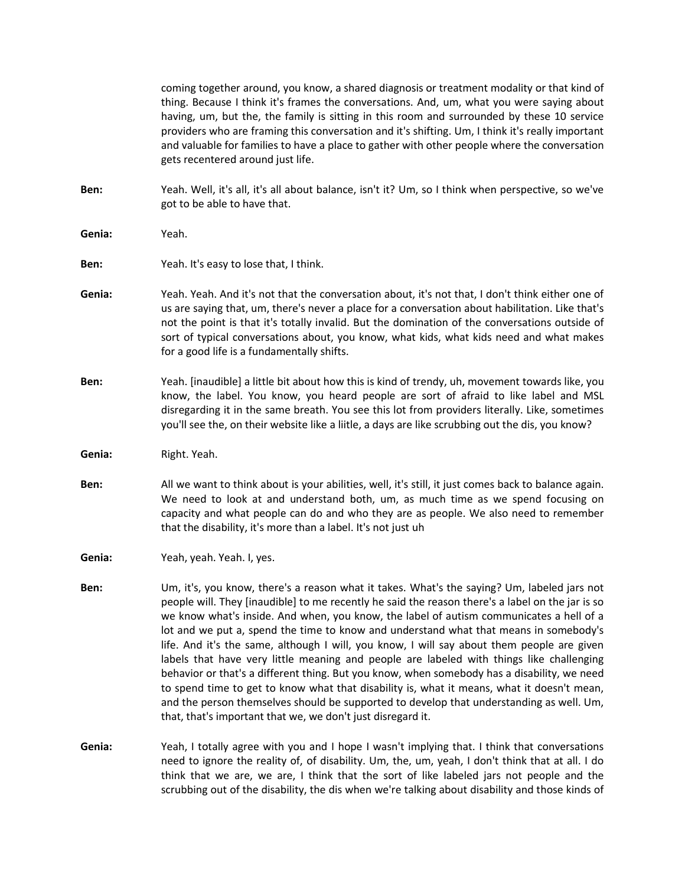coming together around, you know, a shared diagnosis or treatment modality or that kind of thing. Because I think it's frames the conversations. And, um, what you were saying about having, um, but the, the family is sitting in this room and surrounded by these 10 service providers who are framing this conversation and it's shifting. Um, I think it's really important and valuable for families to have a place to gather with other people where the conversation gets recentered around just life.

- **Ben:** Yeah. Well, it's all, it's all about balance, isn't it? Um, so I think when perspective, so we've got to be able to have that.
- **Genia:** Yeah.
- **Ben:** Yeah. It's easy to lose that, I think.
- **Genia:** Yeah. Yeah. And it's not that the conversation about, it's not that, I don't think either one of us are saying that, um, there's never a place for a conversation about habilitation. Like that's not the point is that it's totally invalid. But the domination of the conversations outside of sort of typical conversations about, you know, what kids, what kids need and what makes for a good life is a fundamentally shifts.
- **Ben:** Yeah. [inaudible] a little bit about how this is kind of trendy, uh, movement towards like, you know, the label. You know, you heard people are sort of afraid to like label and MSL disregarding it in the same breath. You see this lot from providers literally. Like, sometimes you'll see the, on their website like a liitle, a days are like scrubbing out the dis, you know?
- **Genia:** Right. Yeah.
- **Ben:** All we want to think about is your abilities, well, it's still, it just comes back to balance again. We need to look at and understand both, um, as much time as we spend focusing on capacity and what people can do and who they are as people. We also need to remember that the disability, it's more than a label. It's not just uh
- **Genia:** Yeah, yeah. Yeah. I, yes.
- **Ben:** Um, it's, you know, there's a reason what it takes. What's the saying? Um, labeled jars not people will. They [inaudible] to me recently he said the reason there's a label on the jar is so we know what's inside. And when, you know, the label of autism communicates a hell of a lot and we put a, spend the time to know and understand what that means in somebody's life. And it's the same, although I will, you know, I will say about them people are given labels that have very little meaning and people are labeled with things like challenging behavior or that's a different thing. But you know, when somebody has a disability, we need to spend time to get to know what that disability is, what it means, what it doesn't mean, and the person themselves should be supported to develop that understanding as well. Um, that, that's important that we, we don't just disregard it.
- **Genia:** Yeah, I totally agree with you and I hope I wasn't implying that. I think that conversations need to ignore the reality of, of disability. Um, the, um, yeah, I don't think that at all. I do think that we are, we are, I think that the sort of like labeled jars not people and the scrubbing out of the disability, the dis when we're talking about disability and those kinds of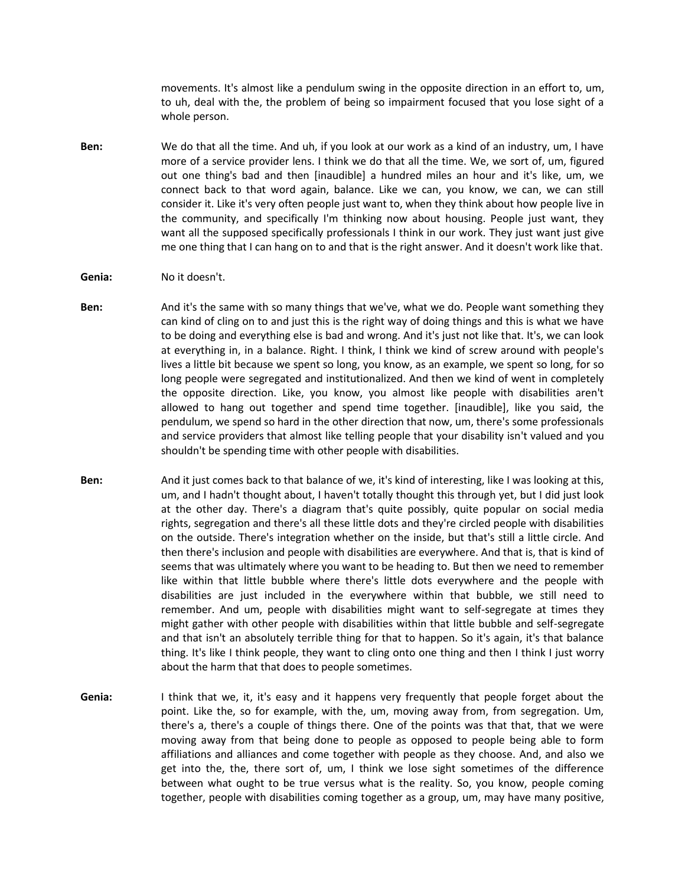movements. It's almost like a pendulum swing in the opposite direction in an effort to, um, to uh, deal with the, the problem of being so impairment focused that you lose sight of a whole person.

- **Ben:** We do that all the time. And uh, if you look at our work as a kind of an industry, um, I have more of a service provider lens. I think we do that all the time. We, we sort of, um, figured out one thing's bad and then [inaudible] a hundred miles an hour and it's like, um, we connect back to that word again, balance. Like we can, you know, we can, we can still consider it. Like it's very often people just want to, when they think about how people live in the community, and specifically I'm thinking now about housing. People just want, they want all the supposed specifically professionals I think in our work. They just want just give me one thing that I can hang on to and that is the right answer. And it doesn't work like that.
- **Genia:** No it doesn't.
- **Ben:** And it's the same with so many things that we've, what we do. People want something they can kind of cling on to and just this is the right way of doing things and this is what we have to be doing and everything else is bad and wrong. And it's just not like that. It's, we can look at everything in, in a balance. Right. I think, I think we kind of screw around with people's lives a little bit because we spent so long, you know, as an example, we spent so long, for so long people were segregated and institutionalized. And then we kind of went in completely the opposite direction. Like, you know, you almost like people with disabilities aren't allowed to hang out together and spend time together. [inaudible], like you said, the pendulum, we spend so hard in the other direction that now, um, there's some professionals and service providers that almost like telling people that your disability isn't valued and you shouldn't be spending time with other people with disabilities.
- **Ben:** And it just comes back to that balance of we, it's kind of interesting, like I was looking at this, um, and I hadn't thought about, I haven't totally thought this through yet, but I did just look at the other day. There's a diagram that's quite possibly, quite popular on social media rights, segregation and there's all these little dots and they're circled people with disabilities on the outside. There's integration whether on the inside, but that's still a little circle. And then there's inclusion and people with disabilities are everywhere. And that is, that is kind of seems that was ultimately where you want to be heading to. But then we need to remember like within that little bubble where there's little dots everywhere and the people with disabilities are just included in the everywhere within that bubble, we still need to remember. And um, people with disabilities might want to self-segregate at times they might gather with other people with disabilities within that little bubble and self-segregate and that isn't an absolutely terrible thing for that to happen. So it's again, it's that balance thing. It's like I think people, they want to cling onto one thing and then I think I just worry about the harm that that does to people sometimes.
- **Genia:** I think that we, it, it's easy and it happens very frequently that people forget about the point. Like the, so for example, with the, um, moving away from, from segregation. Um, there's a, there's a couple of things there. One of the points was that that, that we were moving away from that being done to people as opposed to people being able to form affiliations and alliances and come together with people as they choose. And, and also we get into the, the, there sort of, um, I think we lose sight sometimes of the difference between what ought to be true versus what is the reality. So, you know, people coming together, people with disabilities coming together as a group, um, may have many positive,